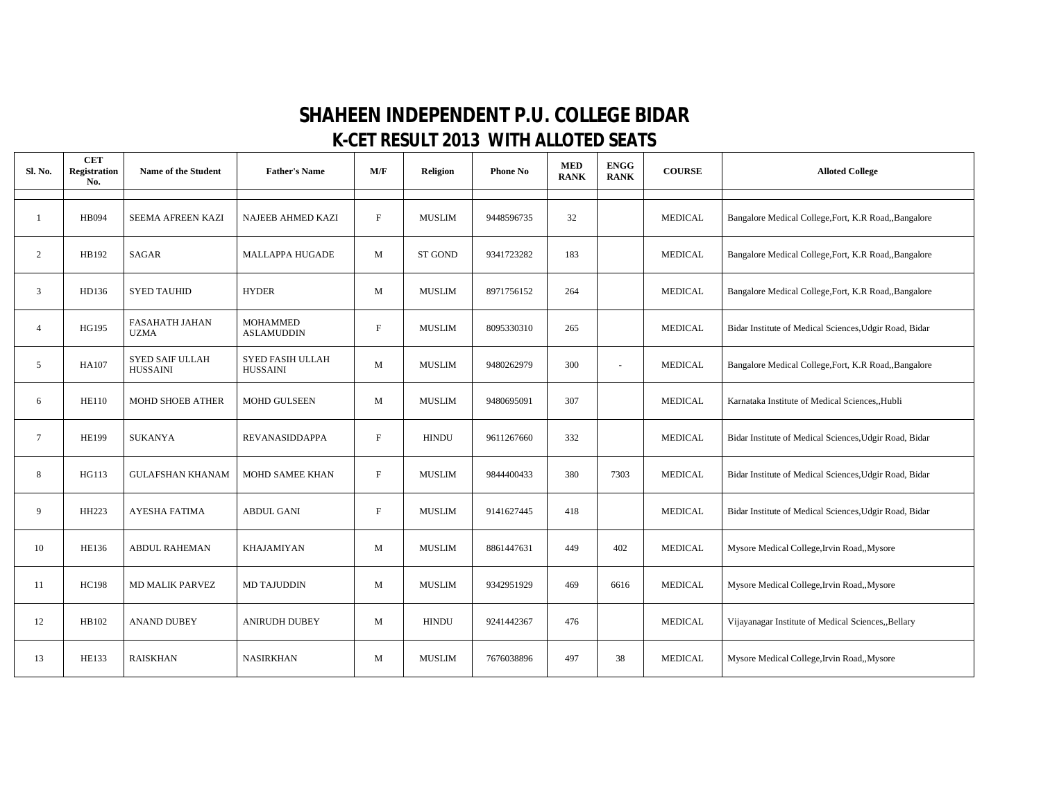## **SHAHEEN INDEPENDENT P.U. COLLEGE BIDAR K-CET RESULT 2013 WITH ALLOTED SEATS**

| Sl. No.        | <b>CET</b><br><b>Registration</b><br>No. | Name of the Student                       | <b>Father's Name</b>                       | M/F                       | <b>Religion</b> | <b>Phone No</b> | <b>MED</b><br><b>RANK</b> | <b>ENGG</b><br><b>RANK</b> | <b>COURSE</b>  | <b>Alloted College</b>                                 |
|----------------|------------------------------------------|-------------------------------------------|--------------------------------------------|---------------------------|-----------------|-----------------|---------------------------|----------------------------|----------------|--------------------------------------------------------|
| $\mathbf{1}$   | <b>HB094</b>                             | SEEMA AFREEN KAZI                         | <b>NAJEEB AHMED KAZI</b>                   | $\mathbf F$               | <b>MUSLIM</b>   | 9448596735      | 32                        |                            | <b>MEDICAL</b> | Bangalore Medical College, Fort, K.R Road, Bangalore   |
| 2              | HB192                                    | <b>SAGAR</b>                              | <b>MALLAPPA HUGADE</b>                     | M                         | <b>ST GOND</b>  | 9341723282      | 183                       |                            | <b>MEDICAL</b> | Bangalore Medical College, Fort, K.R Road, Bangalore   |
| 3              | HD136                                    | <b>SYED TAUHID</b>                        | <b>HYDER</b>                               | M                         | <b>MUSLIM</b>   | 8971756152      | 264                       |                            | <b>MEDICAL</b> | Bangalore Medical College, Fort, K.R Road,, Bangalore  |
| $\overline{4}$ | HG195                                    | <b>FASAHATH JAHAN</b><br><b>UZMA</b>      | <b>MOHAMMED</b><br><b>ASLAMUDDIN</b>       | $\mathbf F$               | <b>MUSLIM</b>   | 8095330310      | 265                       |                            | <b>MEDICAL</b> | Bidar Institute of Medical Sciences, Udgir Road, Bidar |
| 5              | HA107                                    | <b>SYED SAIF ULLAH</b><br><b>HUSSAINI</b> | <b>SYED FASIH ULLAH</b><br><b>HUSSAINI</b> | M                         | <b>MUSLIM</b>   | 9480262979      | 300                       | ÷                          | <b>MEDICAL</b> | Bangalore Medical College, Fort, K.R Road,, Bangalore  |
| 6              | <b>HE110</b>                             | <b>MOHD SHOEB ATHER</b>                   | <b>MOHD GULSEEN</b>                        | M                         | <b>MUSLIM</b>   | 9480695091      | 307                       |                            | <b>MEDICAL</b> | Karnataka Institute of Medical Sciences, Hubli         |
| $\overline{7}$ | <b>HE199</b>                             | <b>SUKANYA</b>                            | REVANASIDDAPPA                             | $\boldsymbol{\mathrm{F}}$ | <b>HINDU</b>    | 9611267660      | 332                       |                            | <b>MEDICAL</b> | Bidar Institute of Medical Sciences, Udgir Road, Bidar |
| 8              | HG113                                    | <b>GULAFSHAN KHANAM</b>                   | <b>MOHD SAMEE KHAN</b>                     | $\mathbf F$               | <b>MUSLIM</b>   | 9844400433      | 380                       | 7303                       | <b>MEDICAL</b> | Bidar Institute of Medical Sciences, Udgir Road, Bidar |
| 9              | HH223                                    | AYESHA FATIMA                             | <b>ABDUL GANI</b>                          | $\mathbf F$               | <b>MUSLIM</b>   | 9141627445      | 418                       |                            | <b>MEDICAL</b> | Bidar Institute of Medical Sciences, Udgir Road, Bidar |
| 10             | <b>HE136</b>                             | <b>ABDUL RAHEMAN</b>                      | KHAJAMIYAN                                 | M                         | <b>MUSLIM</b>   | 8861447631      | 449                       | 402                        | <b>MEDICAL</b> | Mysore Medical College, Irvin Road,, Mysore            |
| 11             | <b>HC198</b>                             | <b>MD MALIK PARVEZ</b>                    | <b>MD TAJUDDIN</b>                         | M                         | <b>MUSLIM</b>   | 9342951929      | 469                       | 6616                       | <b>MEDICAL</b> | Mysore Medical College, Irvin Road,, Mysore            |
| 12             | HB102                                    | <b>ANAND DUBEY</b>                        | <b>ANIRUDH DUBEY</b>                       | M                         | <b>HINDU</b>    | 9241442367      | 476                       |                            | <b>MEDICAL</b> | Vijayanagar Institute of Medical Sciences, Bellary     |
| 13             | <b>HE133</b>                             | <b>RAISKHAN</b>                           | <b>NASIRKHAN</b>                           | M                         | <b>MUSLIM</b>   | 7676038896      | 497                       | 38                         | <b>MEDICAL</b> | Mysore Medical College, Irvin Road,, Mysore            |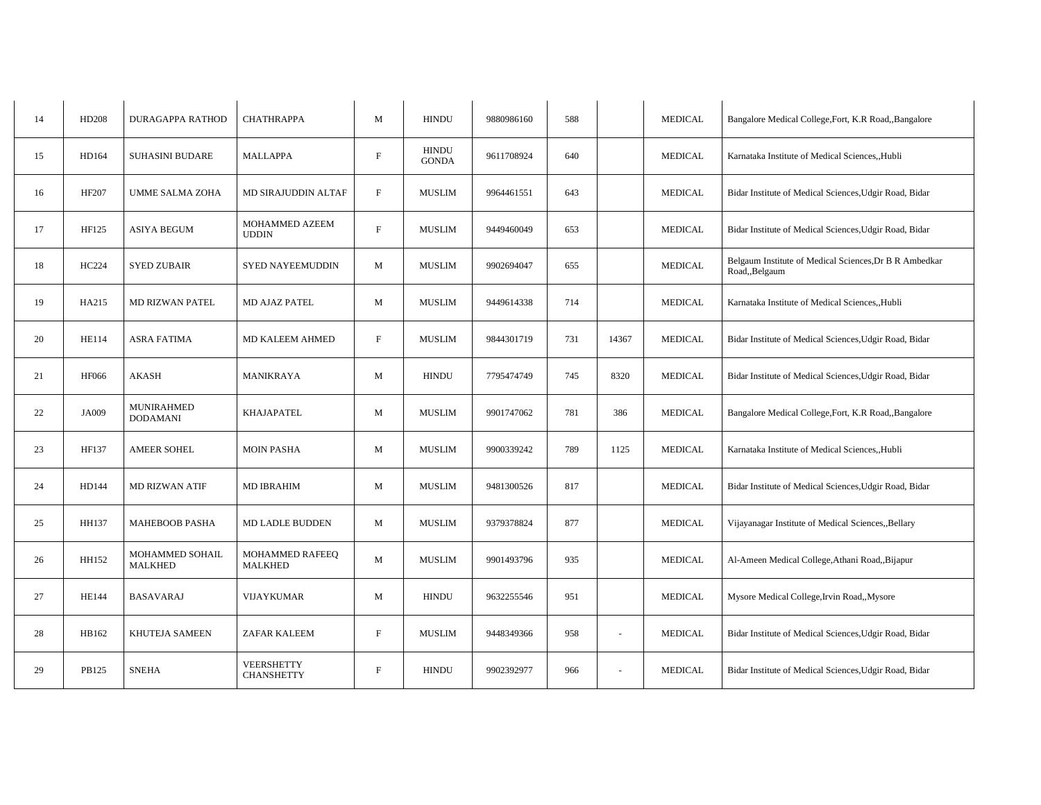| HD208        | <b>DURAGAPPA RATHOD</b>              | <b>CHATHRAPPA</b>                      | M            | <b>HINDU</b>                 | 9880986160 | 588 |                          | <b>MEDICAL</b> | Bangalore Medical College, Fort, K.R Road,, Bangalore                    |
|--------------|--------------------------------------|----------------------------------------|--------------|------------------------------|------------|-----|--------------------------|----------------|--------------------------------------------------------------------------|
| HD164        | <b>SUHASINI BUDARE</b>               | <b>MALLAPPA</b>                        | $\mathbf{F}$ | <b>HINDU</b><br><b>GONDA</b> | 9611708924 | 640 |                          | <b>MEDICAL</b> | Karnataka Institute of Medical Sciences, Hubli                           |
| HF207        | <b>UMME SALMA ZOHA</b>               | MD SIRAJUDDIN ALTAF                    | $\rm F$      | <b>MUSLIM</b>                | 9964461551 | 643 |                          | <b>MEDICAL</b> | Bidar Institute of Medical Sciences, Udgir Road, Bidar                   |
| HF125        | <b>ASIYA BEGUM</b>                   | MOHAMMED AZEEM<br><b>UDDIN</b>         | F            | <b>MUSLIM</b>                | 9449460049 | 653 |                          | <b>MEDICAL</b> | Bidar Institute of Medical Sciences, Udgir Road, Bidar                   |
| HC224        | <b>SYED ZUBAIR</b>                   | <b>SYED NAYEEMUDDIN</b>                | M            | <b>MUSLIM</b>                | 9902694047 | 655 |                          | <b>MEDICAL</b> | Belgaum Institute of Medical Sciences, Dr B R Ambedkar<br>Road,, Belgaum |
| HA215        | <b>MD RIZWAN PATEL</b>               | MD AJAZ PATEL                          | M            | <b>MUSLIM</b>                | 9449614338 | 714 |                          | <b>MEDICAL</b> | Karnataka Institute of Medical Sciences, Hubli                           |
| <b>HE114</b> | <b>ASRA FATIMA</b>                   | MD KALEEM AHMED                        | F            | <b>MUSLIM</b>                | 9844301719 | 731 | 14367                    | <b>MEDICAL</b> | Bidar Institute of Medical Sciences, Udgir Road, Bidar                   |
| <b>HF066</b> | <b>AKASH</b>                         | MANIKRAYA                              | M            | <b>HINDU</b>                 | 7795474749 | 745 | 8320                     | <b>MEDICAL</b> | Bidar Institute of Medical Sciences, Udgir Road, Bidar                   |
| <b>JA009</b> | <b>MUNIRAHMED</b><br><b>DODAMANI</b> | <b>KHAJAPATEL</b>                      | M            | <b>MUSLIM</b>                | 9901747062 | 781 | 386                      | <b>MEDICAL</b> | Bangalore Medical College, Fort, K.R Road,, Bangalore                    |
| HF137        | <b>AMEER SOHEL</b>                   | <b>MOIN PASHA</b>                      | M            | <b>MUSLIM</b>                | 9900339242 | 789 | 1125                     | <b>MEDICAL</b> | Karnataka Institute of Medical Sciences, Hubli                           |
| HD144        | <b>MD RIZWAN ATIF</b>                | <b>MD IBRAHIM</b>                      | M            | <b>MUSLIM</b>                | 9481300526 | 817 |                          | <b>MEDICAL</b> | Bidar Institute of Medical Sciences, Udgir Road, Bidar                   |
| HH137        | <b>MAHEBOOB PASHA</b>                | <b>MD LADLE BUDDEN</b>                 | M            | <b>MUSLIM</b>                | 9379378824 | 877 |                          | <b>MEDICAL</b> | Vijayanagar Institute of Medical Sciences, Bellary                       |
| HH152        | MOHAMMED SOHAIL<br><b>MALKHED</b>    | MOHAMMED RAFEEQ<br><b>MALKHED</b>      | $\mathbf M$  | <b>MUSLIM</b>                | 9901493796 | 935 |                          | <b>MEDICAL</b> | Al-Ameen Medical College, Athani Road,, Bijapur                          |
| <b>HE144</b> | <b>BASAVARAJ</b>                     | <b>VIJAYKUMAR</b>                      | M            | <b>HINDU</b>                 | 9632255546 | 951 |                          | <b>MEDICAL</b> | Mysore Medical College, Irvin Road,, Mysore                              |
| HB162        | KHUTEJA SAMEEN                       | <b>ZAFAR KALEEM</b>                    | F            | <b>MUSLIM</b>                | 9448349366 | 958 | $\sim$                   | <b>MEDICAL</b> | Bidar Institute of Medical Sciences, Udgir Road, Bidar                   |
| PB125        | <b>SNEHA</b>                         | <b>VEERSHETTY</b><br><b>CHANSHETTY</b> | $\mathbf{F}$ | <b>HINDU</b>                 | 9902392977 | 966 | $\overline{\phantom{a}}$ | <b>MEDICAL</b> | Bidar Institute of Medical Sciences, Udgir Road, Bidar                   |
|              |                                      |                                        |              |                              |            |     |                          |                |                                                                          |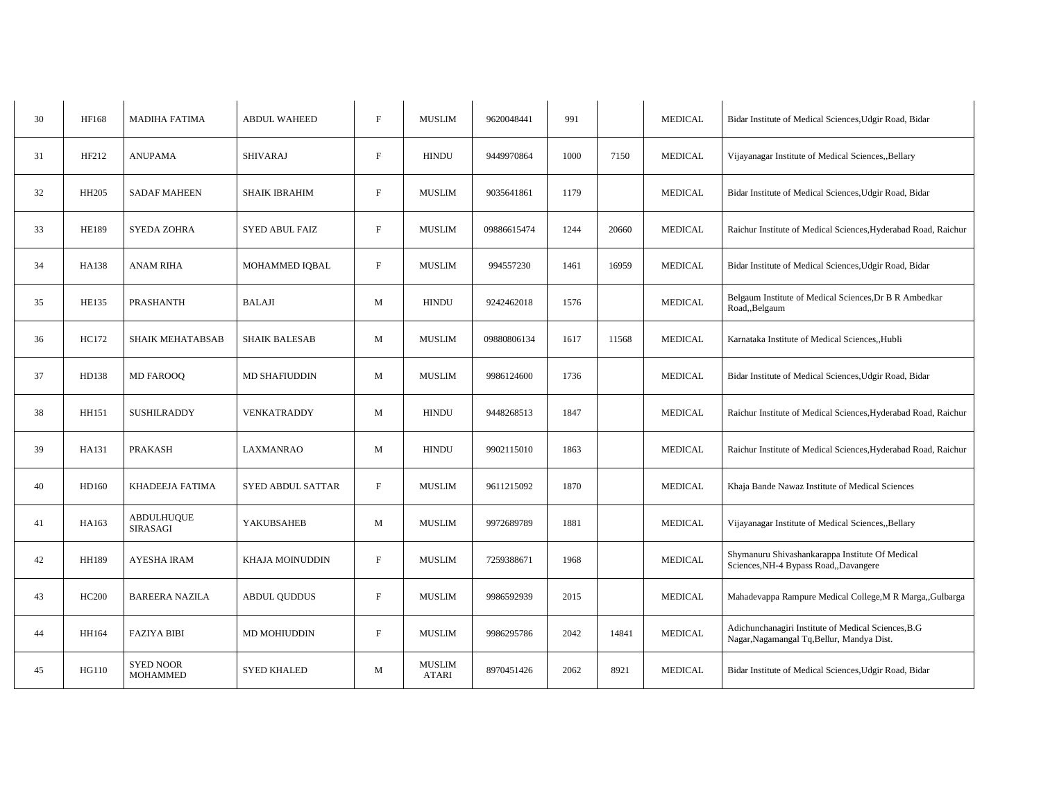| 30 | HF168        | <b>MADIHA FATIMA</b>                | <b>ABDUL WAHEED</b>      | $\mathbf{F}$ | <b>MUSLIM</b>          | 9620048441  | 991  |       | <b>MEDICAL</b> | Bidar Institute of Medical Sciences, Udgir Road, Bidar                                            |
|----|--------------|-------------------------------------|--------------------------|--------------|------------------------|-------------|------|-------|----------------|---------------------------------------------------------------------------------------------------|
| 31 | HF212        | <b>ANUPAMA</b>                      | <b>SHIVARAJ</b>          | $\mathbf F$  | <b>HINDU</b>           | 9449970864  | 1000 | 7150  | <b>MEDICAL</b> | Vijayanagar Institute of Medical Sciences, Bellary                                                |
| 32 | HH205        | <b>SADAF MAHEEN</b>                 | <b>SHAIK IBRAHIM</b>     | $\rm F$      | <b>MUSLIM</b>          | 9035641861  | 1179 |       | <b>MEDICAL</b> | Bidar Institute of Medical Sciences, Udgir Road, Bidar                                            |
| 33 | <b>HE189</b> | <b>SYEDA ZOHRA</b>                  | <b>SYED ABUL FAIZ</b>    | $\mathbf{F}$ | <b>MUSLIM</b>          | 09886615474 | 1244 | 20660 | <b>MEDICAL</b> | Raichur Institute of Medical Sciences, Hyderabad Road, Raichur                                    |
| 34 | HA138        | <b>ANAM RIHA</b>                    | MOHAMMED IQBAL           | $\mathbf{F}$ | <b>MUSLIM</b>          | 994557230   | 1461 | 16959 | <b>MEDICAL</b> | Bidar Institute of Medical Sciences, Udgir Road, Bidar                                            |
| 35 | HE135        | PRASHANTH                           | <b>BALAJI</b>            | M            | <b>HINDU</b>           | 9242462018  | 1576 |       | <b>MEDICAL</b> | Belgaum Institute of Medical Sciences, Dr B R Ambedkar<br>Road,, Belgaum                          |
| 36 | HC172        | <b>SHAIK MEHATABSAB</b>             | <b>SHAIK BALESAB</b>     | M            | <b>MUSLIM</b>          | 09880806134 | 1617 | 11568 | <b>MEDICAL</b> | Karnataka Institute of Medical Sciences, Hubli                                                    |
| 37 | HD138        | <b>MD FAROOQ</b>                    | <b>MD SHAFIUDDIN</b>     | M            | <b>MUSLIM</b>          | 9986124600  | 1736 |       | <b>MEDICAL</b> | Bidar Institute of Medical Sciences, Udgir Road, Bidar                                            |
| 38 | HH151        | <b>SUSHILRADDY</b>                  | <b>VENKATRADDY</b>       | M            | <b>HINDU</b>           | 9448268513  | 1847 |       | <b>MEDICAL</b> | Raichur Institute of Medical Sciences, Hyderabad Road, Raichur                                    |
| 39 | HA131        | PRAKASH                             | <b>LAXMANRAO</b>         | M            | <b>HINDU</b>           | 9902115010  | 1863 |       | <b>MEDICAL</b> | Raichur Institute of Medical Sciences, Hyderabad Road, Raichur                                    |
| 40 | HD160        | KHADEEJA FATIMA                     | <b>SYED ABDUL SATTAR</b> | $\mathbf F$  | <b>MUSLIM</b>          | 9611215092  | 1870 |       | <b>MEDICAL</b> | Khaja Bande Nawaz Institute of Medical Sciences                                                   |
| 41 | HA163        | <b>ABDULHUQUE</b><br>SIRASAGI       | YAKUBSAHEB               | M            | <b>MUSLIM</b>          | 9972689789  | 1881 |       | <b>MEDICAL</b> | Vijayanagar Institute of Medical Sciences, Bellary                                                |
| 42 | HH189        | AYESHA IRAM                         | <b>KHAJA MOINUDDIN</b>   | $\mathbf F$  | <b>MUSLIM</b>          | 7259388671  | 1968 |       | <b>MEDICAL</b> | Shymanuru Shivashankarappa Institute Of Medical<br>Sciences, NH-4 Bypass Road, Davangere          |
| 43 | <b>HC200</b> | <b>BAREERA NAZILA</b>               | <b>ABDUL QUDDUS</b>      | $\mathbf{F}$ | <b>MUSLIM</b>          | 9986592939  | 2015 |       | <b>MEDICAL</b> | Mahadevappa Rampure Medical College, M R Marga,, Gulbarga                                         |
| 44 | HH164        | <b>FAZIYA BIBI</b>                  | <b>MD MOHIUDDIN</b>      | F            | <b>MUSLIM</b>          | 9986295786  | 2042 | 14841 | <b>MEDICAL</b> | Adichunchanagiri Institute of Medical Sciences, B.G<br>Nagar, Nagamangal Tq, Bellur, Mandya Dist. |
| 45 | <b>HG110</b> | <b>SYED NOOR</b><br><b>MOHAMMED</b> | <b>SYED KHALED</b>       | M            | <b>MUSLIM</b><br>ATARI | 8970451426  | 2062 | 8921  | <b>MEDICAL</b> | Bidar Institute of Medical Sciences, Udgir Road, Bidar                                            |
|    |              |                                     |                          |              |                        |             |      |       |                |                                                                                                   |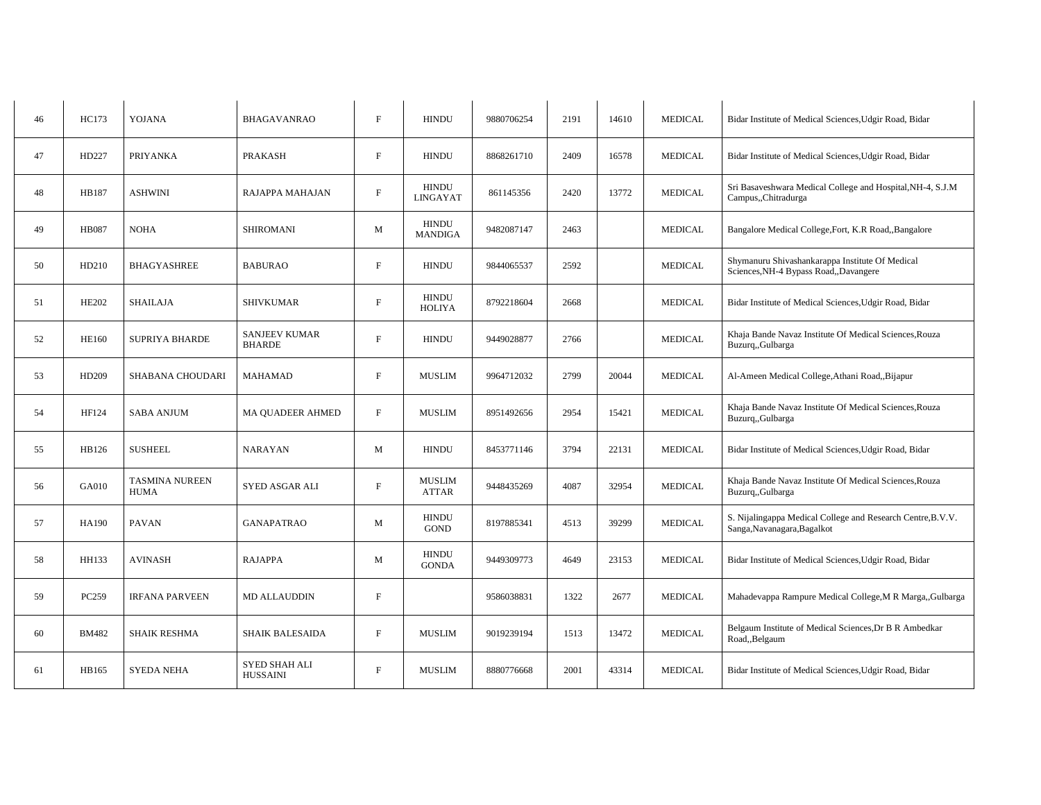| 46 | HC173        | <b>YOJANA</b>                        | <b>BHAGAVANRAO</b>                      | $\mathbf{F}$ | <b>HINDU</b>                    | 9880706254 | 2191 | 14610 | <b>MEDICAL</b> | Bidar Institute of Medical Sciences, Udgir Road, Bidar                                     |
|----|--------------|--------------------------------------|-----------------------------------------|--------------|---------------------------------|------------|------|-------|----------------|--------------------------------------------------------------------------------------------|
| 47 | HD227        | PRIYANKA                             | <b>PRAKASH</b>                          | $\mathbf{F}$ | <b>HINDU</b>                    | 8868261710 | 2409 | 16578 | <b>MEDICAL</b> | Bidar Institute of Medical Sciences, Udgir Road, Bidar                                     |
| 48 | HB187        | <b>ASHWINI</b>                       | RAJAPPA MAHAJAN                         | $\mathbf{F}$ | <b>HINDU</b><br><b>LINGAYAT</b> | 861145356  | 2420 | 13772 | <b>MEDICAL</b> | Sri Basaveshwara Medical College and Hospital, NH-4, S.J.M<br>Campus,,Chitradurga          |
| 49 | <b>HB087</b> | <b>NOHA</b>                          | <b>SHIROMANI</b>                        | M            | <b>HINDU</b><br><b>MANDIGA</b>  | 9482087147 | 2463 |       | <b>MEDICAL</b> | Bangalore Medical College, Fort, K.R Road,, Bangalore                                      |
| 50 | HD210        | <b>BHAGYASHREE</b>                   | <b>BABURAO</b>                          | $\mathbf{F}$ | <b>HINDU</b>                    | 9844065537 | 2592 |       | <b>MEDICAL</b> | Shymanuru Shivashankarappa Institute Of Medical<br>Sciences, NH-4 Bypass Road, Davangere   |
| 51 | <b>HE202</b> | <b>SHAILAJA</b>                      | <b>SHIVKUMAR</b>                        | $\mathbf{F}$ | HINDU<br><b>HOLIYA</b>          | 8792218604 | 2668 |       | <b>MEDICAL</b> | Bidar Institute of Medical Sciences, Udgir Road, Bidar                                     |
| 52 | <b>HE160</b> | <b>SUPRIYA BHARDE</b>                | <b>SANJEEV KUMAR</b><br><b>BHARDE</b>   | F            | <b>HINDU</b>                    | 9449028877 | 2766 |       | <b>MEDICAL</b> | Khaja Bande Navaz Institute Of Medical Sciences, Rouza<br>Buzurq,,Gulbarga                 |
| 53 | HD209        | <b>SHABANA CHOUDARI</b>              | <b>MAHAMAD</b>                          | F            | <b>MUSLIM</b>                   | 9964712032 | 2799 | 20044 | <b>MEDICAL</b> | Al-Ameen Medical College, Athani Road, Bijapur                                             |
| 54 | HF124        | <b>SABA ANJUM</b>                    | <b>MA QUADEER AHMED</b>                 | $\mathbf{F}$ | <b>MUSLIM</b>                   | 8951492656 | 2954 | 15421 | <b>MEDICAL</b> | Khaja Bande Navaz Institute Of Medical Sciences, Rouza<br>Buzurq,,Gulbarga                 |
| 55 | HB126        | <b>SUSHEEL</b>                       | <b>NARAYAN</b>                          | M            | <b>HINDU</b>                    | 8453771146 | 3794 | 22131 | <b>MEDICAL</b> | Bidar Institute of Medical Sciences, Udgir Road, Bidar                                     |
| 56 | GA010        | <b>TASMINA NUREEN</b><br><b>HUMA</b> | SYED ASGAR ALI                          | $\mathbf{F}$ | <b>MUSLIM</b><br><b>ATTAR</b>   | 9448435269 | 4087 | 32954 | <b>MEDICAL</b> | Khaja Bande Navaz Institute Of Medical Sciences, Rouza<br>Buzurq,,Gulbarga                 |
| 57 | HA190        | <b>PAVAN</b>                         | <b>GANAPATRAO</b>                       | M            | <b>HINDU</b><br><b>GOND</b>     | 8197885341 | 4513 | 39299 | <b>MEDICAL</b> | S. Nijalingappa Medical College and Research Centre, B.V.V.<br>Sanga, Navanagara, Bagalkot |
| 58 | HH133        | <b>AVINASH</b>                       | <b>RAJAPPA</b>                          | M            | <b>HINDU</b><br><b>GONDA</b>    | 9449309773 | 4649 | 23153 | <b>MEDICAL</b> | Bidar Institute of Medical Sciences, Udgir Road, Bidar                                     |
| 59 | PC259        | <b>IRFANA PARVEEN</b>                | <b>MD ALLAUDDIN</b>                     | $\mathbf{F}$ |                                 | 9586038831 | 1322 | 2677  | <b>MEDICAL</b> | Mahadevappa Rampure Medical College, M R Marga, Gulbarga                                   |
| 60 | <b>BM482</b> | <b>SHAIK RESHMA</b>                  | <b>SHAIK BALESAIDA</b>                  | $\mathbf{F}$ | <b>MUSLIM</b>                   | 9019239194 | 1513 | 13472 | <b>MEDICAL</b> | Belgaum Institute of Medical Sciences, Dr B R Ambedkar<br>Road,, Belgaum                   |
| 61 | HB165        | <b>SYEDA NEHA</b>                    | <b>SYED SHAH ALI</b><br><b>HUSSAINI</b> | $\mathbf{F}$ | <b>MUSLIM</b>                   | 8880776668 | 2001 | 43314 | <b>MEDICAL</b> | Bidar Institute of Medical Sciences, Udgir Road, Bidar                                     |
|    |              |                                      |                                         |              |                                 |            |      |       |                |                                                                                            |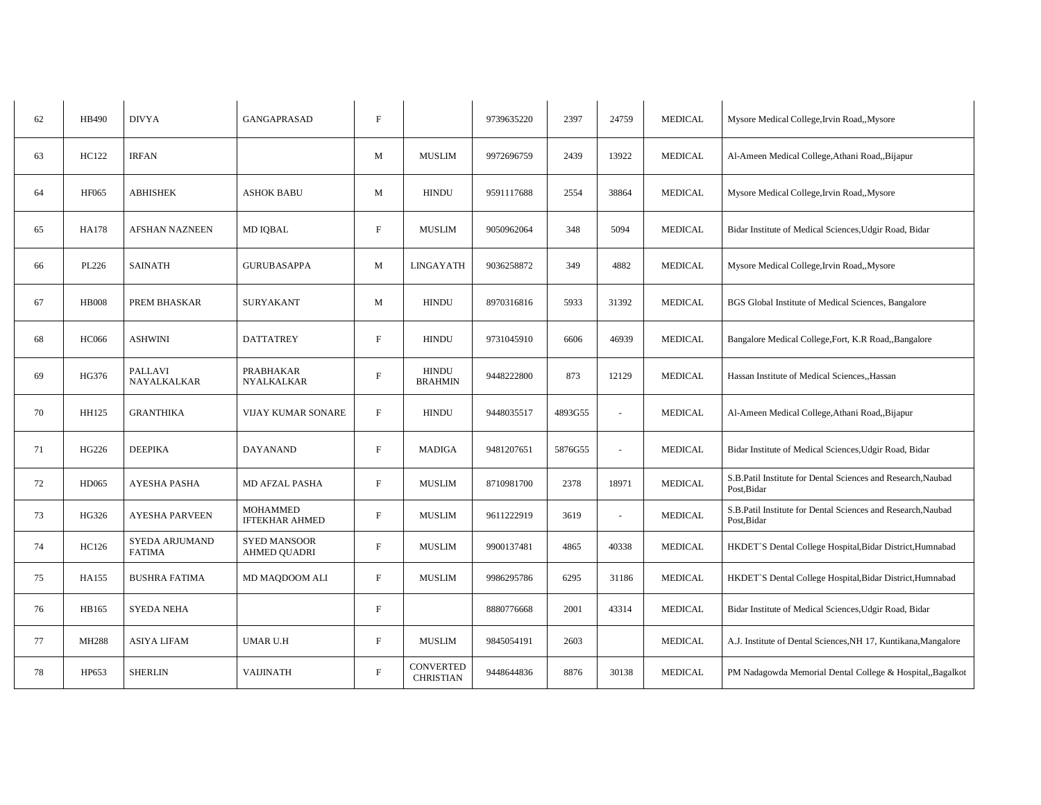| 62 | HB490        | <b>DIVYA</b>                    | <b>GANGAPRASAD</b>                         | $\mathbf F$               |                                      | 9739635220 | 2397    | 24759  | <b>MEDICAL</b> | Mysore Medical College, Irvin Road,, Mysore                                 |
|----|--------------|---------------------------------|--------------------------------------------|---------------------------|--------------------------------------|------------|---------|--------|----------------|-----------------------------------------------------------------------------|
| 63 | HC122        | <b>IRFAN</b>                    |                                            | M                         | <b>MUSLIM</b>                        | 9972696759 | 2439    | 13922  | <b>MEDICAL</b> | Al-Ameen Medical College, Athani Road, Bijapur                              |
| 64 | <b>HF065</b> | <b>ABHISHEK</b>                 | <b>ASHOK BABU</b>                          | M                         | <b>HINDU</b>                         | 9591117688 | 2554    | 38864  | <b>MEDICAL</b> | Mysore Medical College, Irvin Road,, Mysore                                 |
| 65 | <b>HA178</b> | <b>AFSHAN NAZNEEN</b>           | <b>MD IQBAL</b>                            | $\mathbf{F}$              | <b>MUSLIM</b>                        | 9050962064 | 348     | 5094   | <b>MEDICAL</b> | Bidar Institute of Medical Sciences, Udgir Road, Bidar                      |
| 66 | PL226        | <b>SAINATH</b>                  | <b>GURUBASAPPA</b>                         | M                         | <b>LINGAYATH</b>                     | 9036258872 | 349     | 4882   | <b>MEDICAL</b> | Mysore Medical College, Irvin Road,, Mysore                                 |
| 67 | <b>HB008</b> | PREM BHASKAR                    | <b>SURYAKANT</b>                           | M                         | <b>HINDU</b>                         | 8970316816 | 5933    | 31392  | <b>MEDICAL</b> | BGS Global Institute of Medical Sciences, Bangalore                         |
| 68 | <b>HC066</b> | <b>ASHWINI</b>                  | <b>DATTATREY</b>                           | F                         | <b>HINDU</b>                         | 9731045910 | 6606    | 46939  | <b>MEDICAL</b> | Bangalore Medical College, Fort, K.R Road,, Bangalore                       |
| 69 | HG376        | PALLAVI<br>NAYALKALKAR          | PRABHAKAR<br><b>NYALKALKAR</b>             | $\boldsymbol{\mathrm{F}}$ | <b>HINDU</b><br><b>BRAHMIN</b>       | 9448222800 | 873     | 12129  | <b>MEDICAL</b> | Hassan Institute of Medical Sciences, Hassan                                |
| 70 | HH125        | <b>GRANTHIKA</b>                | VIJAY KUMAR SONARE                         | $\boldsymbol{\mathrm{F}}$ | <b>HINDU</b>                         | 9448035517 | 4893G55 | $\sim$ | <b>MEDICAL</b> | Al-Ameen Medical College, Athani Road,, Bijapur                             |
| 71 | HG226        | <b>DEEPIKA</b>                  | <b>DAYANAND</b>                            | $\mathbf{F}$              | <b>MADIGA</b>                        | 9481207651 | 5876G55 |        | <b>MEDICAL</b> | Bidar Institute of Medical Sciences, Udgir Road, Bidar                      |
| 72 | HD065        | <b>AYESHA PASHA</b>             | MD AFZAL PASHA                             | $\mathbf{F}$              | <b>MUSLIM</b>                        | 8710981700 | 2378    | 18971  | <b>MEDICAL</b> | S.B.Patil Institute for Dental Sciences and Research, Naubad<br>Post.Bidar  |
| 73 | HG326        | <b>AYESHA PARVEEN</b>           | <b>MOHAMMED</b><br><b>IFTEKHAR AHMED</b>   | $\mathbf{F}$              | <b>MUSLIM</b>                        | 9611222919 | 3619    |        | <b>MEDICAL</b> | S.B.Patil Institute for Dental Sciences and Research, Naubad<br>Post, Bidar |
| 74 | HC126        | SYEDA ARJUMAND<br><b>FATIMA</b> | <b>SYED MANSOOR</b><br><b>AHMED QUADRI</b> | $\mathbf{F}$              | <b>MUSLIM</b>                        | 9900137481 | 4865    | 40338  | <b>MEDICAL</b> | HKDET'S Dental College Hospital, Bidar District, Humnabad                   |
| 75 | HA155        | <b>BUSHRA FATIMA</b>            | MD MAQDOOM ALI                             | $\mathbf{F}$              | <b>MUSLIM</b>                        | 9986295786 | 6295    | 31186  | <b>MEDICAL</b> | HKDET'S Dental College Hospital, Bidar District, Humnabad                   |
| 76 | HB165        | <b>SYEDA NEHA</b>               |                                            | $\mathbf{F}$              |                                      | 8880776668 | 2001    | 43314  | <b>MEDICAL</b> | Bidar Institute of Medical Sciences, Udgir Road, Bidar                      |
| 77 | MH288        | <b>ASIYA LIFAM</b>              | <b>UMAR U.H</b>                            | $\boldsymbol{\mathrm{F}}$ | <b>MUSLIM</b>                        | 9845054191 | 2603    |        | <b>MEDICAL</b> | A.J. Institute of Dental Sciences, NH 17, Kuntikana, Mangalore              |
| 78 | HP653        | <b>SHERLIN</b>                  | <b>VAIJINATH</b>                           | $\mathbf F$               | <b>CONVERTED</b><br><b>CHRISTIAN</b> | 9448644836 | 8876    | 30138  | <b>MEDICAL</b> | PM Nadagowda Memorial Dental College & Hospital, Bagalkot                   |
|    |              |                                 |                                            |                           |                                      |            |         |        |                |                                                                             |